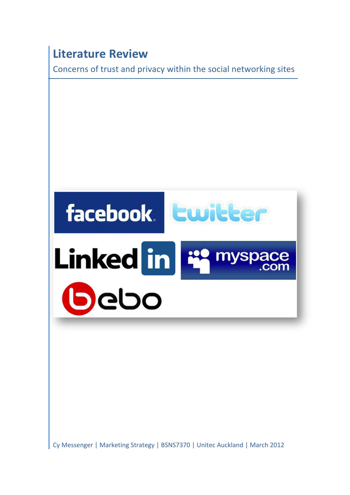# **Literature Review**

Concerns of trust and privacy within the social networking sites



Cy Messenger | Marketing Strategy | BSNS7370 | Unitec Auckland | March 2012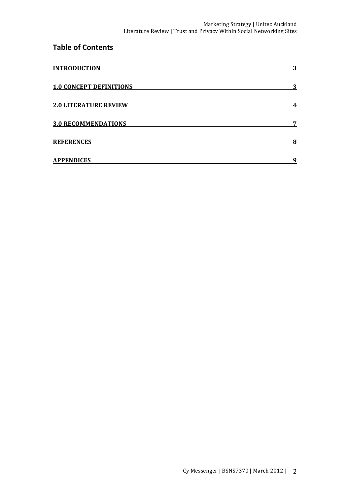# **Table of Contents**

| <b>INTRODUCTION</b>            | 3 |
|--------------------------------|---|
| <b>1.0 CONCEPT DEFINITIONS</b> | 3 |
| <b>2.0 LITERATURE REVIEW</b>   | 4 |
| <b>3.0 RECOMMENDATIONS</b>     | 7 |
| <b>REFERENCES</b>              | 8 |
| <b>APPENDICES</b>              | 9 |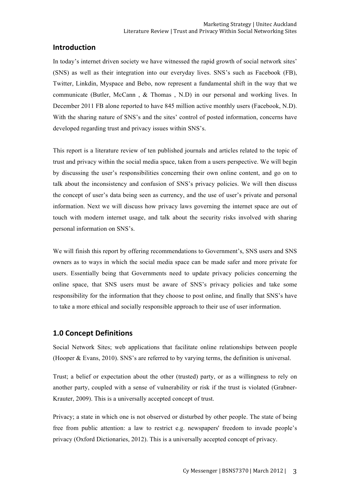#### **Introduction**

In today's internet driven society we have witnessed the rapid growth of social network sites' (SNS) as well as their integration into our everyday lives. SNS's such as Facebook (FB), Twitter, Linkdin, Myspace and Bebo, now represent a fundamental shift in the way that we communicate (Butler, McCann , & Thomas , N.D) in our personal and working lives. In December 2011 FB alone reported to have 845 million active monthly users (Facebook, N.D). With the sharing nature of SNS's and the sites' control of posted information, concerns have developed regarding trust and privacy issues within SNS's.

This report is a literature review of ten published journals and articles related to the topic of trust and privacy within the social media space, taken from a users perspective. We will begin by discussing the user's responsibilities concerning their own online content, and go on to talk about the inconsistency and confusion of SNS's privacy policies. We will then discuss the concept of user's data being seen as currency, and the use of user's private and personal information. Next we will discuss how privacy laws governing the internet space are out of touch with modern internet usage, and talk about the security risks involved with sharing personal information on SNS's.

We will finish this report by offering recommendations to Government's, SNS users and SNS owners as to ways in which the social media space can be made safer and more private for users. Essentially being that Governments need to update privacy policies concerning the online space, that SNS users must be aware of SNS's privacy policies and take some responsibility for the information that they choose to post online, and finally that SNS's have to take a more ethical and socially responsible approach to their use of user information.

#### **1.0 Concept Definitions**

Social Network Sites; web applications that facilitate online relationships between people (Hooper & Evans, 2010). SNS's are referred to by varying terms, the definition is universal.

Trust; a belief or expectation about the other (trusted) party, or as a willingness to rely on another party, coupled with a sense of vulnerability or risk if the trust is violated (Grabner-Krauter, 2009). This is a universally accepted concept of trust.

Privacy; a state in which one is not observed or disturbed by other people. The state of being free from public attention: a law to restrict e.g. newspapers' freedom to invade people's privacy (Oxford Dictionaries, 2012). This is a universally accepted concept of privacy.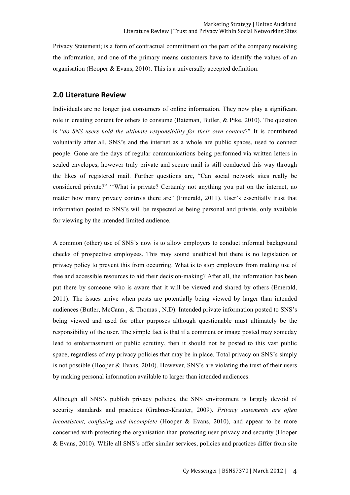Privacy Statement; is a form of contractual commitment on the part of the company receiving the information, and one of the primary means customers have to identify the values of an organisation (Hooper & Evans, 2010). This is a universally accepted definition.

#### **2.0 Literature Review**

Individuals are no longer just consumers of online information. They now play a significant role in creating content for others to consume (Bateman, Butler, & Pike, 2010). The question is "*do SNS users hold the ultimate responsibility for their own content*?" It is contributed voluntarily after all. SNS's and the internet as a whole are public spaces, used to connect people. Gone are the days of regular communications being performed via written letters in sealed envelopes, however truly private and secure mail is still conducted this way through the likes of registered mail. Further questions are, "Can social network sites really be considered private?" ''What is private? Certainly not anything you put on the internet, no matter how many privacy controls there are" (Emerald, 2011). User's essentially trust that information posted to SNS's will be respected as being personal and private, only available for viewing by the intended limited audience.

A common (other) use of SNS's now is to allow employers to conduct informal background checks of prospective employees. This may sound unethical but there is no legislation or privacy policy to prevent this from occurring. What is to stop employers from making use of free and accessible resources to aid their decision-making? After all, the information has been put there by someone who is aware that it will be viewed and shared by others (Emerald, 2011). The issues arrive when posts are potentially being viewed by larger than intended audiences (Butler, McCann , & Thomas , N.D). Intended private information posted to SNS's being viewed and used for other purposes although questionable must ultimately be the responsibility of the user. The simple fact is that if a comment or image posted may someday lead to embarrassment or public scrutiny, then it should not be posted to this vast public space, regardless of any privacy policies that may be in place. Total privacy on SNS's simply is not possible (Hooper & Evans, 2010). However, SNS's are violating the trust of their users by making personal information available to larger than intended audiences.

Although all SNS's publish privacy policies, the SNS environment is largely devoid of security standards and practices (Grabner-Krauter, 2009). *Privacy statements are often inconsistent, confusing and incomplete* (Hooper & Evans, 2010), and appear to be more concerned with protecting the organisation than protecting user privacy and security (Hooper & Evans, 2010). While all SNS's offer similar services, policies and practices differ from site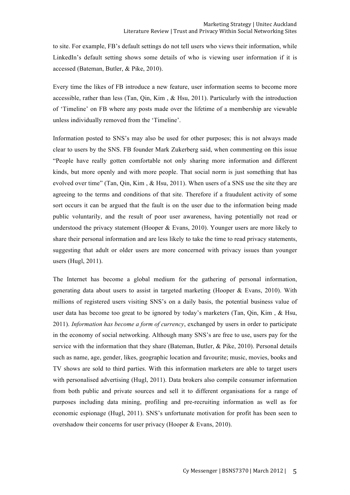to site. For example, FB's default settings do not tell users who views their information, while LinkedIn's default setting shows some details of who is viewing user information if it is accessed (Bateman, Butler, & Pike, 2010).

Every time the likes of FB introduce a new feature, user information seems to become more accessible, rather than less (Tan, Qin, Kim,  $\&$  Hsu, 2011). Particularly with the introduction of 'Timeline' on FB where any posts made over the lifetime of a membership are viewable unless individually removed from the 'Timeline'.

Information posted to SNS's may also be used for other purposes; this is not always made clear to users by the SNS. FB founder Mark Zukerberg said, when commenting on this issue "People have really gotten comfortable not only sharing more information and different kinds, but more openly and with more people. That social norm is just something that has evolved over time" (Tan, Qin, Kim , & Hsu, 2011). When users of a SNS use the site they are agreeing to the terms and conditions of that site. Therefore if a fraudulent activity of some sort occurs it can be argued that the fault is on the user due to the information being made public voluntarily, and the result of poor user awareness, having potentially not read or understood the privacy statement (Hooper & Evans, 2010). Younger users are more likely to share their personal information and are less likely to take the time to read privacy statements, suggesting that adult or older users are more concerned with privacy issues than younger users (Hugl, 2011).

The Internet has become a global medium for the gathering of personal information, generating data about users to assist in targeted marketing (Hooper & Evans, 2010). With millions of registered users visiting SNS's on a daily basis, the potential business value of user data has become too great to be ignored by today's marketers (Tan, Qin, Kim , & Hsu, 2011). *Information has become a form of currency*, exchanged by users in order to participate in the economy of social networking. Although many SNS's are free to use, users pay for the service with the information that they share (Bateman, Butler, & Pike, 2010). Personal details such as name, age, gender, likes, geographic location and favourite; music, movies, books and TV shows are sold to third parties. With this information marketers are able to target users with personalised advertising (Hugl, 2011). Data brokers also compile consumer information from both public and private sources and sell it to different organisations for a range of purposes including data mining, profiling and pre-recruiting information as well as for economic espionage (Hugl, 2011). SNS's unfortunate motivation for profit has been seen to overshadow their concerns for user privacy (Hooper & Evans, 2010).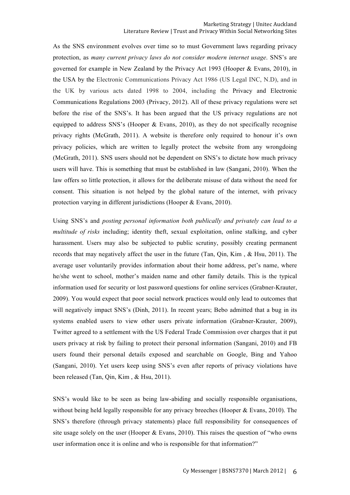As the SNS environment evolves over time so to must Government laws regarding privacy protection, as *many current privacy laws do not consider modern internet usage*. SNS's are governed for example in New Zealand by the Privacy Act 1993 (Hooper & Evans, 2010), in the USA by the Electronic Communications Privacy Act 1986 (US Legal INC, N.D), and in the UK by various acts dated 1998 to 2004, including the Privacy and Electronic Communications Regulations 2003 (Privacy, 2012). All of these privacy regulations were set before the rise of the SNS's. It has been argued that the US privacy regulations are not equipped to address SNS's (Hooper & Evans, 2010), as they do not specifically recognise privacy rights (McGrath, 2011). A website is therefore only required to honour it's own privacy policies, which are written to legally protect the website from any wrongdoing (McGrath, 2011). SNS users should not be dependent on SNS's to dictate how much privacy users will have. This is something that must be established in law (Sangani, 2010). When the law offers so little protection, it allows for the deliberate misuse of data without the need for consent. This situation is not helped by the global nature of the internet, with privacy protection varying in different jurisdictions (Hooper & Evans, 2010).

Using SNS's and *posting personal information both publically and privately can lead to a multitude of risks* including; identity theft, sexual exploitation, online stalking, and cyber harassment. Users may also be subjected to public scrutiny, possibly creating permanent records that may negatively affect the user in the future (Tan, Qin, Kim , & Hsu, 2011). The average user voluntarily provides information about their home address, pet's name, where he/she went to school, mother's maiden name and other family details. This is the typical information used for security or lost password questions for online services (Grabner-Krauter, 2009). You would expect that poor social network practices would only lead to outcomes that will negatively impact SNS's (Dinh, 2011). In recent years; Bebo admitted that a bug in its systems enabled users to view other users private information (Grabner-Krauter, 2009), Twitter agreed to a settlement with the US Federal Trade Commission over charges that it put users privacy at risk by failing to protect their personal information (Sangani, 2010) and FB users found their personal details exposed and searchable on Google, Bing and Yahoo (Sangani, 2010). Yet users keep using SNS's even after reports of privacy violations have been released (Tan, Qin, Kim , & Hsu, 2011).

SNS's would like to be seen as being law-abiding and socially responsible organisations, without being held legally responsible for any privacy breeches (Hooper & Evans, 2010). The SNS's therefore (through privacy statements) place full responsibility for consequences of site usage solely on the user (Hooper & Evans, 2010). This raises the question of "who owns user information once it is online and who is responsible for that information?"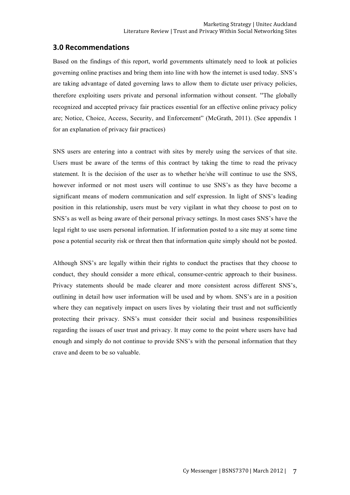### **3.0 Recommendations**

Based on the findings of this report, world governments ultimately need to look at policies governing online practises and bring them into line with how the internet is used today. SNS's are taking advantage of dated governing laws to allow them to dictate user privacy policies, therefore exploiting users private and personal information without consent. "The globally recognized and accepted privacy fair practices essential for an effective online privacy policy are; Notice, Choice, Access, Security, and Enforcement" (McGrath, 2011). (See appendix 1 for an explanation of privacy fair practices)

SNS users are entering into a contract with sites by merely using the services of that site. Users must be aware of the terms of this contract by taking the time to read the privacy statement. It is the decision of the user as to whether he/she will continue to use the SNS, however informed or not most users will continue to use SNS's as they have become a significant means of modern communication and self expression. In light of SNS's leading position in this relationship, users must be very vigilant in what they choose to post on to SNS's as well as being aware of their personal privacy settings. In most cases SNS's have the legal right to use users personal information. If information posted to a site may at some time pose a potential security risk or threat then that information quite simply should not be posted.

Although SNS's are legally within their rights to conduct the practises that they choose to conduct, they should consider a more ethical, consumer-centric approach to their business. Privacy statements should be made clearer and more consistent across different SNS's, outlining in detail how user information will be used and by whom. SNS's are in a position where they can negatively impact on users lives by violating their trust and not sufficiently protecting their privacy. SNS's must consider their social and business responsibilities regarding the issues of user trust and privacy. It may come to the point where users have had enough and simply do not continue to provide SNS's with the personal information that they crave and deem to be so valuable.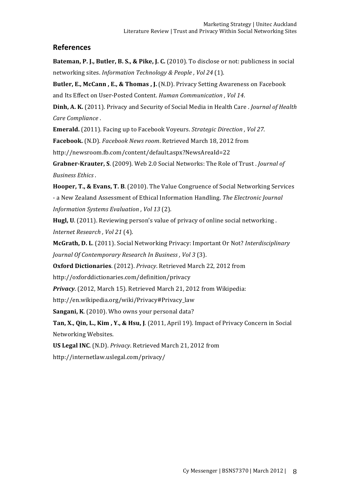## **References**

**Bateman, P. J., Butler, B. S., & Pike, J. C.** (2010). To disclose or not: publicness in social networking sites. *Information Technology & People* , Vol 24 (1).

**Butler, E., McCann, E., & Thomas, J.** (N.D). Privacy Setting Awareness on Facebook and Its Effect on User-Posted Content. *Human Communication*, *Vol 14*.

**Dinh, A. K.** (2011). Privacy and Security of Social Media in Health Care . *Journal of Health Care Compliance* .

**Emerald.** (2011). Facing up to Facebook Voyeurs. *Strategic Direction* , *Vol* 27.

**Facebook.** (N.D). *Facebook News room*. Retrieved March 18, 2012 from

http://newsroom.fb.com/content/default.aspx?NewsAreaId=22

**Grabner-Krauter, S.** (2009). Web 2.0 Social Networks: The Role of Trust. *Journal of Business Ethics* .

**Hooper, T., & Evans, T. B.** (2010). The Value Congruence of Social Networking Services - a New Zealand Assessment of Ethical Information Handling. *The Electronic Journal Information Systems Evaluation*, *Vol* 13 (2).

**Hugl, U.** (2011). Reviewing person's value of privacy of online social networking. *Internet Research , Vol 21* (4).

**McGrath, D. L.** (2011). Social Networking Privacy: Important Or Not? Interdisciplinary *Journal Of Contemporary Research In Business, Vol 3 (3).* 

**Oxford Dictionaries**. (2012). *Privacy*. Retrieved March 22, 2012 from

http://oxforddictionaries.com/definition/privacy

**Privacy**. (2012, March 15). Retrieved March 21, 2012 from Wikipedia:

http://en.wikipedia.org/wiki/Privacy#Privacy\_law

**Sangani, K.** (2010). Who owns your personal data?

**Tan, X., Qin, L., Kim, Y., & Hsu, J.** (2011, April 19). Impact of Privacy Concern in Social Networking Websites.

**US Legal INC.** (N.D). *Privacy*. Retrieved March 21, 2012 from

http://internetlaw.uslegal.com/privacy/